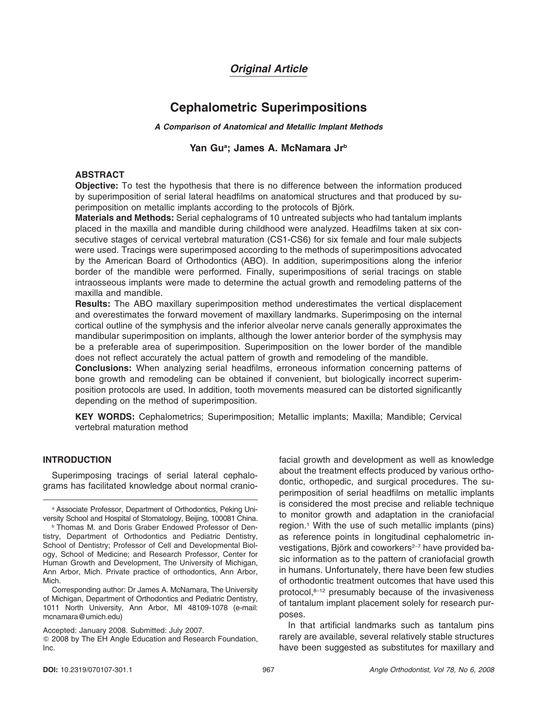## *Original Article*

# **Cephalometric Superimpositions**

*A Comparison of Anatomical and Metallic Implant Methods*

## Yan Gu<sup>a</sup>; James A. McNamara Jr<sup>b</sup>

### **ABSTRACT**

**Objective:** To test the hypothesis that there is no difference between the information produced by superimposition of serial lateral headfilms on anatomical structures and that produced by superimposition on metallic implants according to the protocols of Björk.

**Materials and Methods:** Serial cephalograms of 10 untreated subjects who had tantalum implants placed in the maxilla and mandible during childhood were analyzed. Headfilms taken at six consecutive stages of cervical vertebral maturation (CS1-CS6) for six female and four male subjects were used. Tracings were superimposed according to the methods of superimpositions advocated by the American Board of Orthodontics (ABO). In addition, superimpositions along the inferior border of the mandible were performed. Finally, superimpositions of serial tracings on stable intraosseous implants were made to determine the actual growth and remodeling patterns of the maxilla and mandible.

**Results:** The ABO maxillary superimposition method underestimates the vertical displacement and overestimates the forward movement of maxillary landmarks. Superimposing on the internal cortical outline of the symphysis and the inferior alveolar nerve canals generally approximates the mandibular superimposition on implants, although the lower anterior border of the symphysis may be a preferable area of superimposition. Superimposition on the lower border of the mandible does not reflect accurately the actual pattern of growth and remodeling of the mandible.

**Conclusions:** When analyzing serial headfilms, erroneous information concerning patterns of bone growth and remodeling can be obtained if convenient, but biologically incorrect superimposition protocols are used. In addition, tooth movements measured can be distorted significantly depending on the method of superimposition.

**KEY WORDS:** Cephalometrics; Superimposition; Metallic implants; Maxilla; Mandible; Cervical vertebral maturation method

## **INTRODUCTION**

Superimposing tracings of serial lateral cephalograms has facilitated knowledge about normal craniofacial growth and development as well as knowledge about the treatment effects produced by various orthodontic, orthopedic, and surgical procedures. The superimposition of serial headfilms on metallic implants is considered the most precise and reliable technique to monitor growth and adaptation in the craniofacial region.1 With the use of such metallic implants (pins) as reference points in longitudinal cephalometric investigations, Björk and coworkers<sup>2–7</sup> have provided basic information as to the pattern of craniofacial growth in humans. Unfortunately, there have been few studies of orthodontic treatment outcomes that have used this  $protocol<sub>18-12</sub>$  presumably because of the invasiveness of tantalum implant placement solely for research purposes.

In that artificial landmarks such as tantalum pins rarely are available, several relatively stable structures have been suggested as substitutes for maxillary and

<sup>a</sup> Associate Professor, Department of Orthodontics, Peking University School and Hospital of Stomatology, Beijing, 100081 China.

**b Thomas M. and Doris Graber Endowed Professor of Den**tistry, Department of Orthodontics and Pediatric Dentistry, School of Dentistry; Professor of Cell and Developmental Biology, School of Medicine; and Research Professor, Center for Human Growth and Development, The University of Michigan, Ann Arbor, Mich. Private practice of orthodontics, Ann Arbor, Mich.

Corresponding author: Dr James A. McNamara, The University of Michigan, Department of Orthodontics and Pediatric Dentistry, 1011 North University, Ann Arbor, MI 48109-1078 (e-mail: mcnamara@umich.edu)

Accepted: January 2008. Submitted: July 2007.

<sup>-</sup> 2008 by The EH Angle Education and Research Foundation, Inc.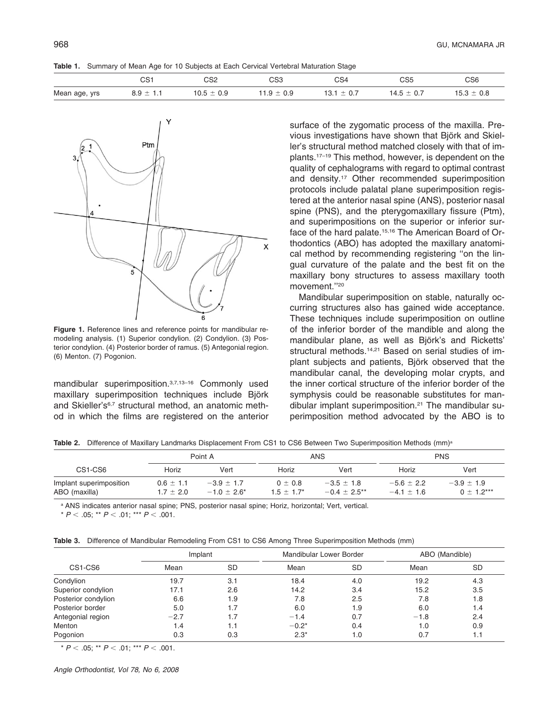**Table 1.** Summary of Mean Age for 10 Subjects at Each Cervical Vertebral Maturation Stage

|               | rc.<br>ັບບໍ                                | CS2                                                | rco<br>სპა                                             | CS4                                 | OOE<br>სახ                                                             | CS6           |
|---------------|--------------------------------------------|----------------------------------------------------|--------------------------------------------------------|-------------------------------------|------------------------------------------------------------------------|---------------|
| Mean age, yrs | --<br>∪.∪<br>.<br>$\overline{\phantom{a}}$ | 0 F<br>0.9<br>-<br>∪.∪<br>$\overline{\phantom{a}}$ | 0.9<br>$\Omega$<br>$\cdot$<br>$\overline{\phantom{a}}$ | --<br>$\mathsf{v}$ .<br>-<br>$\sim$ | $\sqrt{ }$<br>-<br>. v. .<br>᠇.◡<br>$\overline{\phantom{a}}$<br>$\sim$ | 0.8<br>. ט. ט |



**Figure 1.** Reference lines and reference points for mandibular remodeling analysis. (1) Superior condylion. (2) Condylion. (3) Posterior condylion. (4) Posterior border of ramus. (5) Antegonial region. (6) Menton. (7) Pogonion.

mandibular superimposition.<sup>3,7,13-16</sup> Commonly used maxillary superimposition techniques include Björk and Skieller's<sup>6,7</sup> structural method, an anatomic method in which the films are registered on the anterior surface of the zygomatic process of the maxilla. Previous investigations have shown that Björk and Skieller's structural method matched closely with that of implants.17–19 This method, however, is dependent on the quality of cephalograms with regard to optimal contrast and density.17 Other recommended superimposition protocols include palatal plane superimposition registered at the anterior nasal spine (ANS), posterior nasal spine (PNS), and the pterygomaxillary fissure (Ptm), and superimpositions on the superior or inferior surface of the hard palate.<sup>15,16</sup> The American Board of Orthodontics (ABO) has adopted the maxillary anatomical method by recommending registering ''on the lingual curvature of the palate and the best fit on the maxillary bony structures to assess maxillary tooth movement.''20

Mandibular superimposition on stable, naturally occurring structures also has gained wide acceptance. These techniques include superimposition on outline of the inferior border of the mandible and along the mandibular plane, as well as Björk's and Ricketts' structural methods.<sup>14,21</sup> Based on serial studies of implant subjects and patients, Björk observed that the mandibular canal, the developing molar crypts, and the inner cortical structure of the inferior border of the symphysis could be reasonable substitutes for mandibular implant superimposition.<sup>21</sup> The mandibular superimposition method advocated by the ABO is to

Table 2. Difference of Maxillary Landmarks Displacement From CS1 to CS6 Between Two Superimposition Methods (mm)<sup>a</sup>

|                                          |                                | Point A                         |                              | ANS                               | <b>PNS</b>                       |                                |  |
|------------------------------------------|--------------------------------|---------------------------------|------------------------------|-----------------------------------|----------------------------------|--------------------------------|--|
| CS1-CS6                                  | Horiz                          | Vert                            | Horiz                        | Vert                              | Horiz                            | Vert                           |  |
| Implant superimposition<br>ABO (maxilla) | $0.6 \pm 1.1$<br>$1.7 \pm 2.0$ | $-3.9 \pm 1.7$<br>$-1.0 + 2.6*$ | $0 \pm 0.8$<br>$1.5 + 1.7^*$ | $-3.5 + 1.8$<br>$-0.4 \pm 2.5$ ** | $-5.6 \pm 2.2$<br>$-4.1 \pm 1.6$ | $-3.9 + 1.9$<br>$0 \pm 1.2***$ |  |

<sup>a</sup> ANS indicates anterior nasal spine; PNS, posterior nasal spine; Horiz, horizontal; Vert, vertical.

 $*$  *P*  $<$  .05; \*\* *P*  $<$  .01; \*\*\* *P*  $<$  .001.

|                     | Implant |           | Mandibular Lower Border |           | ABO (Mandible) |           |
|---------------------|---------|-----------|-------------------------|-----------|----------------|-----------|
| CS1-CS6             | Mean    | <b>SD</b> | Mean                    | <b>SD</b> | Mean           | <b>SD</b> |
| Condylion           | 19.7    | 3.1       | 18.4                    | 4.0       | 19.2           | 4.3       |
| Superior condylion  | 17.1    | 2.6       | 14.2                    | 3.4       | 15.2           | 3.5       |
| Posterior condylion | 6.6     | 1.9       | 7.8                     | 2.5       | 7.8            | 1.8       |
| Posterior border    | 5.0     | 1.7       | 6.0                     | 1.9       | 6.0            | 1.4       |
| Antegonial region   | $-2.7$  |           | $-1.4$                  | 0.7       | $-1.8$         | 2.4       |
| Menton              | 1.4     | 1.1       | $-0.2*$                 | 0.4       | 1.0            | 0.9       |
| Pogonion            | 0.3     | 0.3       | $2.3*$                  | 1.0       | 0.7            | 1.1       |

 $*$  *P*  $\lt$  .05; \*\* *P*  $\lt$  .01; \*\*\* *P*  $\lt$  .001.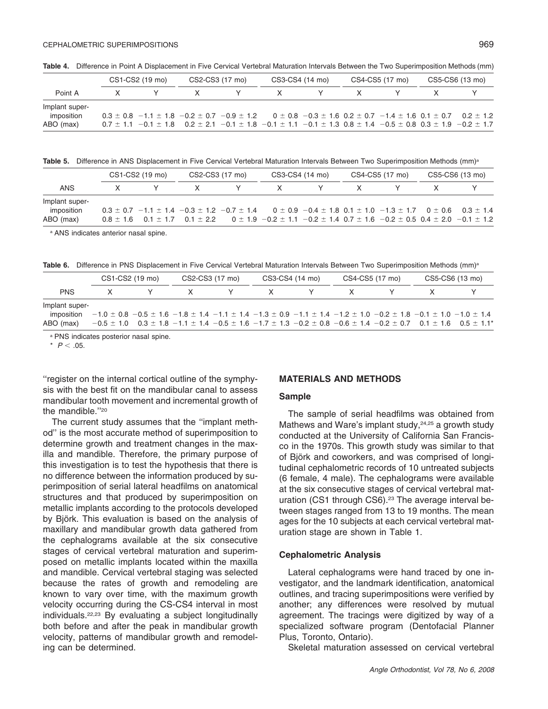**Table 4.** Difference in Point A Displacement in Five Cervical Vertebral Maturation Intervals Between the Two Superimposition Methods (mm)

| CS1-CS2 (19 mo) |  | CS2-CS3 (17 mo) |  | CS3-CS4 (14 mo)                                                                                                                                   |  | CS4-CS5 (17 mo) |  | CS5-CS6 (13 mo) |  |
|-----------------|--|-----------------|--|---------------------------------------------------------------------------------------------------------------------------------------------------|--|-----------------|--|-----------------|--|
| Point A         |  |                 |  | X.                                                                                                                                                |  |                 |  |                 |  |
| Implant super-  |  |                 |  |                                                                                                                                                   |  |                 |  |                 |  |
| imposition      |  |                 |  | $0.3 \pm 0.8$ -1.1 $\pm$ 1.8 -0.2 $\pm$ 0.7 -0.9 $\pm$ 1.2 0 $\pm$ 0.8 -0.3 $\pm$ 1.6 0.2 $\pm$ 0.7 -1.4 $\pm$ 1.6 0.1 $\pm$ 0.7 0.2 $\pm$ 1.2    |  |                 |  |                 |  |
| ABO (max)       |  |                 |  | $0.7 \pm 1.1$ $-0.1 \pm 1.8$ $0.2 \pm 2.1$ $-0.1 \pm 1.8$ $-0.1 \pm 1.1$ $-0.1 \pm 1.3$ $0.8 \pm 1.4$ $-0.5 \pm 0.8$ $0.3 \pm 1.9$ $-0.2 \pm 1.7$ |  |                 |  |                 |  |

Table 5. Difference in ANS Displacement in Five Cervical Vertebral Maturation Intervals Between Two Superimposition Methods (mm)<sup>a</sup>

|                                                  | CS1-CS2 (19 mo) |  |                                                                                                                                                                                                                                                                                                   | CS2-CS3 (17 mo) |         | CS3-CS4 (14 mo) |  | CS4-CS5 (17 mo) |  | CS5-CS6 (13 mo) |  |
|--------------------------------------------------|-----------------|--|---------------------------------------------------------------------------------------------------------------------------------------------------------------------------------------------------------------------------------------------------------------------------------------------------|-----------------|---------|-----------------|--|-----------------|--|-----------------|--|
| <b>ANS</b>                                       |                 |  | $\mathsf{X}$ .                                                                                                                                                                                                                                                                                    | Y .             | $X$ $Y$ |                 |  |                 |  |                 |  |
| Implant super-<br>imposition<br>ABO (max)        |                 |  | $0.3 \pm 0.7$ $-1.1 \pm 1.4$ $-0.3 \pm 1.2$ $-0.7 \pm 1.4$ $0 \pm 0.9$ $-0.4 \pm 1.8$ $0.1 \pm 1.0$ $-1.3 \pm 1.7$ $0 \pm 0.6$ $0.3 \pm 1.4$<br>$0.8 \pm 1.6$ 0.1 $\pm$ 1.7 0.1 $\pm$ 2.2 0 $\pm$ 1.9 - 0.2 $\pm$ 1.1 - 0.2 $\pm$ 1.4 0.7 $\pm$ 1.6 - 0.2 $\pm$ 0.5 0.4 $\pm$ 2.0 - 0.1 $\pm$ 1.2 |                 |         |                 |  |                 |  |                 |  |
| <sup>a</sup> ANS indicates anterior nasal spine. |                 |  |                                                                                                                                                                                                                                                                                                   |                 |         |                 |  |                 |  |                 |  |

Table 6. Difference in PNS Displacement in Five Cervical Vertebral Maturation Intervals Between Two Superimposition Methods (mm)<sup>a</sup>

|                | CS1-CS2 (19 mo)                                                                                                                                       | CS2-CS3 (17 mo) | CS3-CS4 (14 mo) | CS4-CS5 (17 mo) | CS5-CS6 (13 mo) |  |
|----------------|-------------------------------------------------------------------------------------------------------------------------------------------------------|-----------------|-----------------|-----------------|-----------------|--|
| <b>PNS</b>     |                                                                                                                                                       |                 |                 |                 |                 |  |
| Implant super- |                                                                                                                                                       |                 |                 |                 |                 |  |
| imposition     | $-1.0 \pm 0.8$ $-0.5 \pm 1.6$ $-1.8 \pm 1.4$ $-1.1 \pm 1.4$ $-1.3 \pm 0.9$ $-1.1 \pm 1.4$ $-1.2 \pm 1.0$ $-0.2 \pm 1.8$ $-0.1 \pm 1.0$ $-1.0 \pm 1.4$ |                 |                 |                 |                 |  |
| ABO (max)      | $-0.5 \pm 1.0$ $0.3 \pm 1.8$ $-1.1 \pm 1.4$ $-0.5 \pm 1.6$ $-1.7 \pm 1.3$ $-0.2 \pm 0.8$ $-0.6 \pm 1.4$ $-0.2 \pm 0.7$ $0.1 \pm 1.6$ $0.5 \pm 1.1^*$  |                 |                 |                 |                 |  |

<sup>a</sup> PNS indicates posterior nasal spine.

 $*$   $P < .05$ .

''register on the internal cortical outline of the symphysis with the best fit on the mandibular canal to assess mandibular tooth movement and incremental growth of the mandible "20

The current study assumes that the ''implant method'' is the most accurate method of superimposition to determine growth and treatment changes in the maxilla and mandible. Therefore, the primary purpose of this investigation is to test the hypothesis that there is no difference between the information produced by superimposition of serial lateral headfilms on anatomical structures and that produced by superimposition on metallic implants according to the protocols developed by Björk. This evaluation is based on the analysis of maxillary and mandibular growth data gathered from the cephalograms available at the six consecutive stages of cervical vertebral maturation and superimposed on metallic implants located within the maxilla and mandible. Cervical vertebral staging was selected because the rates of growth and remodeling are known to vary over time, with the maximum growth velocity occurring during the CS-CS4 interval in most individuals.22,23 By evaluating a subject longitudinally both before and after the peak in mandibular growth velocity, patterns of mandibular growth and remodeling can be determined.

## **MATERIALS AND METHODS**

#### **Sample**

The sample of serial headfilms was obtained from Mathews and Ware's implant study, <sup>24,25</sup> a growth study conducted at the University of California San Francisco in the 1970s. This growth study was similar to that of Björk and coworkers, and was comprised of longitudinal cephalometric records of 10 untreated subjects (6 female, 4 male). The cephalograms were available at the six consecutive stages of cervical vertebral maturation (CS1 through CS6).<sup>23</sup> The average interval between stages ranged from 13 to 19 months. The mean ages for the 10 subjects at each cervical vertebral maturation stage are shown in Table 1.

#### **Cephalometric Analysis**

Lateral cephalograms were hand traced by one investigator, and the landmark identification, anatomical outlines, and tracing superimpositions were verified by another; any differences were resolved by mutual agreement. The tracings were digitized by way of a specialized software program (Dentofacial Planner Plus, Toronto, Ontario).

Skeletal maturation assessed on cervical vertebral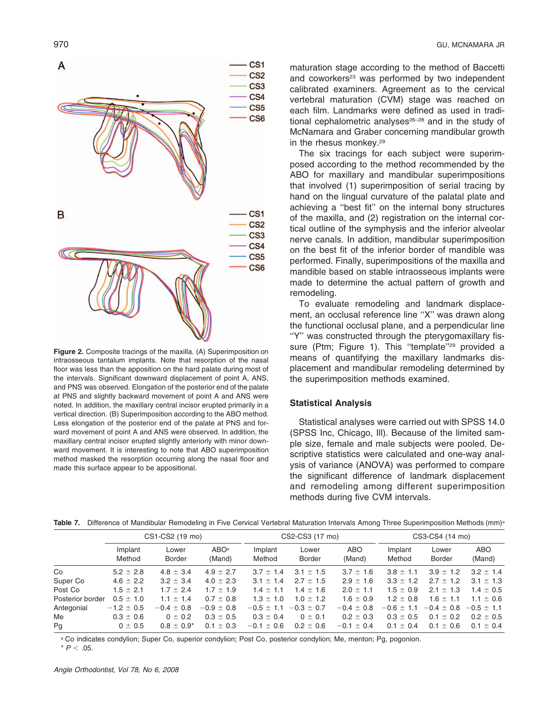

**Figure 2.** Composite tracings of the maxilla. (A) Superimposition on intraosseous tantalum implants. Note that resorption of the nasal floor was less than the apposition on the hard palate during most of the intervals. Significant downward displacement of point A, ANS, and PNS was observed. Elongation of the posterior end of the palate at PNS and slightly backward movement of point A and ANS were noted. In addition, the maxillary central incisor erupted primarily in a vertical direction. (B) Superimposition according to the ABO method. Less elongation of the posterior end of the palate at PNS and forward movement of point A and ANS were observed. In addition, the maxillary central incisor erupted slightly anteriorly with minor downward movement. It is interesting to note that ABO superimposition method masked the resorption occurring along the nasal floor and made this surface appear to be appositional.

maturation stage according to the method of Baccetti and coworkers<sup>23</sup> was performed by two independent calibrated examiners. Agreement as to the cervical vertebral maturation (CVM) stage was reached on each film. Landmarks were defined as used in traditional cephalometric analyses $26-28$  and in the study of McNamara and Graber concerning mandibular growth in the rhesus monkey.<sup>29</sup>

The six tracings for each subject were superimposed according to the method recommended by the ABO for maxillary and mandibular superimpositions that involved (1) superimposition of serial tracing by hand on the lingual curvature of the palatal plate and achieving a ''best fit'' on the internal bony structures of the maxilla, and (2) registration on the internal cortical outline of the symphysis and the inferior alveolar nerve canals. In addition, mandibular superimposition on the best fit of the inferior border of mandible was performed. Finally, superimpositions of the maxilla and mandible based on stable intraosseous implants were made to determine the actual pattern of growth and remodeling.

To evaluate remodeling and landmark displacement, an occlusal reference line ''X'' was drawn along the functional occlusal plane, and a perpendicular line ''Y'' was constructed through the pterygomaxillary fissure (Ptm; Figure 1). This "template"<sup>29</sup> provided a means of quantifying the maxillary landmarks displacement and mandibular remodeling determined by the superimposition methods examined.

#### **Statistical Analysis**

Statistical analyses were carried out with SPSS 14.0 (SPSS Inc, Chicago, Ill). Because of the limited sample size, female and male subjects were pooled. Descriptive statistics were calculated and one-way analysis of variance (ANOVA) was performed to compare the significant difference of landmark displacement and remodeling among different superimposition methods during five CVM intervals.

| Table 7. |  |  |  |  |  |  |  |  |  | . Difference of Mandibular Remodeling in Five Cervical Vertebral Maturation Intervals Among Three Superimposition Methods (mm) <sup>8</sup> |  |  |  |
|----------|--|--|--|--|--|--|--|--|--|---------------------------------------------------------------------------------------------------------------------------------------------|--|--|--|
|----------|--|--|--|--|--|--|--|--|--|---------------------------------------------------------------------------------------------------------------------------------------------|--|--|--|

|                  | CS1-CS2 (19 mo)   |                        |                            |                   | CS2-CS3 (17 mo)        |                      | CS3-CS4 (14 mo)   |                        |                      |  |
|------------------|-------------------|------------------------|----------------------------|-------------------|------------------------|----------------------|-------------------|------------------------|----------------------|--|
|                  | Implant<br>Method | Lower<br><b>Border</b> | ABO <sup>a</sup><br>(Mand) | Implant<br>Method | Lower<br><b>Border</b> | <b>ABO</b><br>(Mand) | Implant<br>Method | Lower<br><b>Border</b> | <b>ABO</b><br>(Mand) |  |
| Co               | $5.2 \pm 2.8$     | $4.8 \pm 3.4$          | $4.9 \pm 2.7$              | $3.7 \pm 1.4$     | $3.1 \pm 1.5$          | $3.7 \pm 1.6$        | $3.8 \pm 1.1$     | $3.9 \pm 1.2$          | $3.2 \pm 1.4$        |  |
| Super Co         | $4.6 \pm 2.2$     | $3.2 \pm 3.4$          | $4.0 \pm 2.3$              | $3.1 \pm 1.4$     | $2.7 \pm 1.5$          | $2.9 \pm 1.6$        | $3.3 \pm 1.2$     | $2.7 \pm 1.2$          | $3.1 \pm 1.3$        |  |
| Post Co          | $1.5 \pm 2.1$     | $1.7 \pm 2.4$          | $1.7 \pm 1.9$              | $1.4 + 1.1$       | $1.4 \pm 1.6$          | $2.0 \pm 1.1$        | $1.5 \pm 0.9$     | $2.1 \pm 1.3$          | $1.4 \pm 0.5$        |  |
| Posterior border | $0.5 \pm 1.0$     | $1.1 \pm 1.4$          | $0.7 \pm 0.8$              | $1.3 \pm 1.0$     | $1.0 \pm 1.2$          | $1.6 \pm 0.9$        | $1.2 \pm 0.8$     | $1.6 \pm 1.1$          | $1.1 \pm 0.6$        |  |
| Antegonial       | $-1.2 \pm 0.5$    | $-0.4 \pm 0.8$         | $-0.9 \pm 0.8$             | $-0.5 \pm 1.1$    | $-0.3 \pm 0.7$         | $-0.4 \pm 0.8$       | $-0.6 \pm 1.1$    | $-0.4 \pm 0.8$         | $-0.5 \pm 1.1$       |  |
| Me               | $0.3 \pm 0.6$     | $0 \pm 0.2$            | $0.3 \pm 0.5$              | $0.3 \pm 0.4$     | $0 \pm 0.1$            | $0.2 \pm 0.3$        | $0.3 \pm 0.5$     | $0.1 \pm 0.2$          | $0.2 \pm 0.5$        |  |
| Pg               | $0 \pm 0.5$       | $0.8 \pm 0.9^*$        | $0.1 \pm 0.3$              | $-0.1 \pm 0.6$    | $0.2 \pm 0.6$          | $-0.1 \pm 0.4$       | $0.1 \pm 0.4$     | $0.1 \pm 0.6$          | $0.1 \pm 0.4$        |  |

a Co indicates condylion; Super Co, superior condylion; Post Co, posterior condylion; Me, menton; Pg, pogonion.  $*$  *P*  $< .05$ .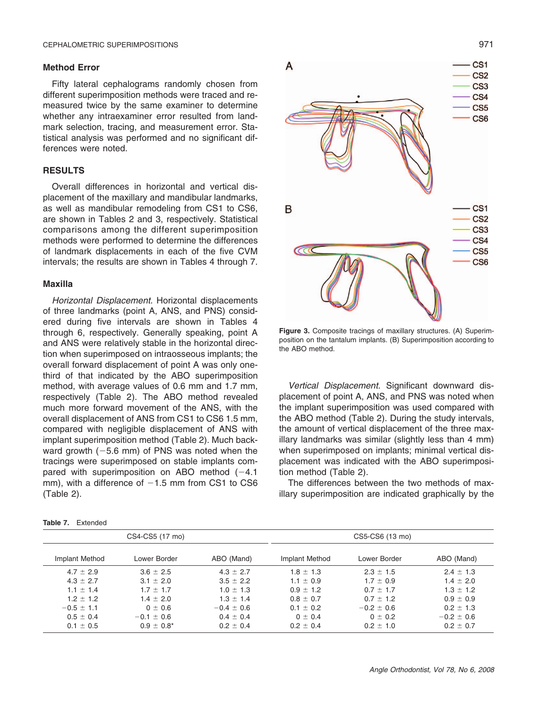#### **Method Error**

Fifty lateral cephalograms randomly chosen from different superimposition methods were traced and remeasured twice by the same examiner to determine whether any intraexaminer error resulted from landmark selection, tracing, and measurement error. Statistical analysis was performed and no significant differences were noted.

#### **RESULTS**

Overall differences in horizontal and vertical displacement of the maxillary and mandibular landmarks, as well as mandibular remodeling from CS1 to CS6, are shown in Tables 2 and 3, respectively. Statistical comparisons among the different superimposition methods were performed to determine the differences of landmark displacements in each of the five CVM intervals; the results are shown in Tables 4 through 7.

#### **Maxilla**

*Horizontal Displacement.* Horizontal displacements of three landmarks (point A, ANS, and PNS) considered during five intervals are shown in Tables 4 through 6, respectively. Generally speaking, point A and ANS were relatively stable in the horizontal direction when superimposed on intraosseous implants; the overall forward displacement of point A was only onethird of that indicated by the ABO superimposition method, with average values of 0.6 mm and 1.7 mm, respectively (Table 2). The ABO method revealed much more forward movement of the ANS, with the overall displacement of ANS from CS1 to CS6 1.5 mm, compared with negligible displacement of ANS with implant superimposition method (Table 2). Much backward growth  $(-5.6 \text{ mm})$  of PNS was noted when the tracings were superimposed on stable implants compared with superimposition on ABO method  $(-4.1)$ mm), with a difference of  $-1.5$  mm from CS1 to CS6 (Table 2).



**Figure 3.** Composite tracings of maxillary structures. (A) Superimposition on the tantalum implants. (B) Superimposition according to the ABO method.

*Vertical Displacement.* Significant downward displacement of point A, ANS, and PNS was noted when the implant superimposition was used compared with the ABO method (Table 2). During the study intervals, the amount of vertical displacement of the three maxillary landmarks was similar (slightly less than 4 mm) when superimposed on implants; minimal vertical displacement was indicated with the ABO superimposition method (Table 2).

The differences between the two methods of maxillary superimposition are indicated graphically by the

|                | CS4-CS5 (17 mo) |                | CS5-CS6 (13 mo) |                |                |  |  |
|----------------|-----------------|----------------|-----------------|----------------|----------------|--|--|
| Implant Method | Lower Border    | ABO (Mand)     | Implant Method  | Lower Border   | ABO (Mand)     |  |  |
| $4.7 \pm 2.9$  | $3.6 \pm 2.5$   | $4.3 \pm 2.7$  | $1.8 \pm 1.3$   | $2.3 \pm 1.5$  | $2.4 \pm 1.3$  |  |  |
| $4.3 \pm 2.7$  | $3.1 \pm 2.0$   | $3.5 \pm 2.2$  | $1.1 \pm 0.9$   | $1.7 \pm 0.9$  | $1.4 \pm 2.0$  |  |  |
| $1.1 \pm 1.4$  | $1.7 \pm 1.7$   | $1.0 \pm 1.3$  | $0.9 \pm 1.2$   | $0.7 \pm 1.7$  | $1.3 \pm 1.2$  |  |  |
| $1.2 \pm 1.2$  | $1.4 \pm 2.0$   | $1.3 \pm 1.4$  | $0.8 \pm 0.7$   | $0.7 + 1.2$    | $0.9 \pm 0.9$  |  |  |
| $-0.5 \pm 1.1$ | $0 \pm 0.6$     | $-0.4 \pm 0.6$ | $0.1 \pm 0.2$   | $-0.2 \pm 0.6$ | $0.2 \pm 1.3$  |  |  |
| $0.5 \pm 0.4$  | $-0.1 \pm 0.6$  | $0.4 \pm 0.4$  | $0 \pm 0.4$     | $0 \pm 0.2$    | $-0.2 \pm 0.6$ |  |  |
| $0.1 \pm 0.5$  | $0.9 \pm 0.8^*$ | $0.2 \pm 0.4$  | $0.2 \pm 0.4$   | $0.2 \pm 1.0$  | $0.2 \pm 0.7$  |  |  |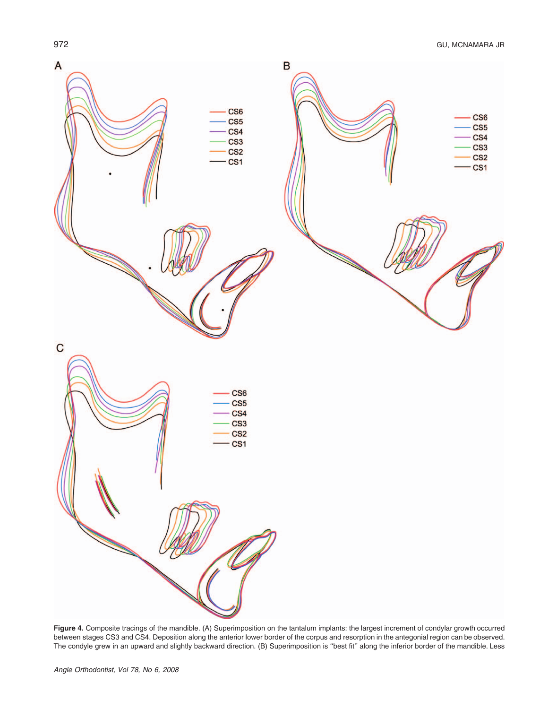

**Figure 4.** Composite tracings of the mandible. (A) Superimposition on the tantalum implants: the largest increment of condylar growth occurred between stages CS3 and CS4. Deposition along the anterior lower border of the corpus and resorption in the antegonial region can be observed. The condyle grew in an upward and slightly backward direction. (B) Superimposition is ''best fit'' along the inferior border of the mandible. Less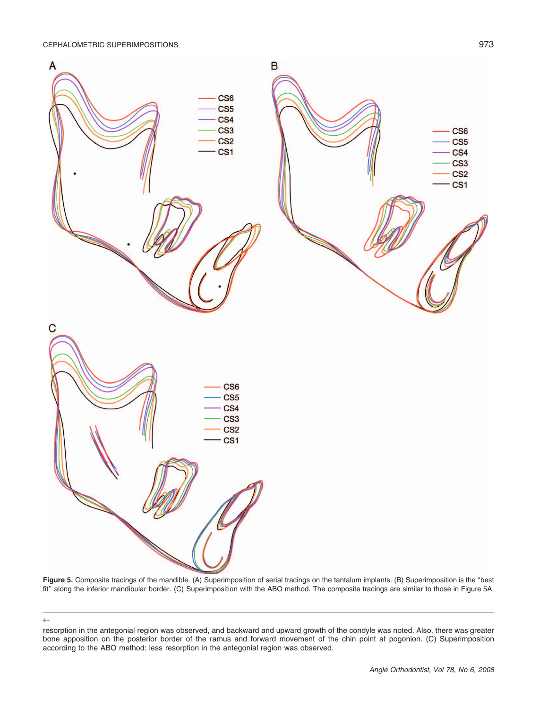CEPHALOMETRIC SUPERIMPOSITIONS **EXAMPLE 2018** 273

←



**Figure 5.** Composite tracings of the mandible. (A) Superimposition of serial tracings on the tantalum implants. (B) Superimposition is the ''best fit'' along the inferior mandibular border. (C) Superimposition with the ABO method. The composite tracings are similar to those in Figure 5A.

resorption in the antegonial region was observed, and backward and upward growth of the condyle was noted. Also, there was greater bone apposition on the posterior border of the ramus and forward movement of the chin point at pogonion. (C) Superimposition according to the ABO method: less resorption in the antegonial region was observed.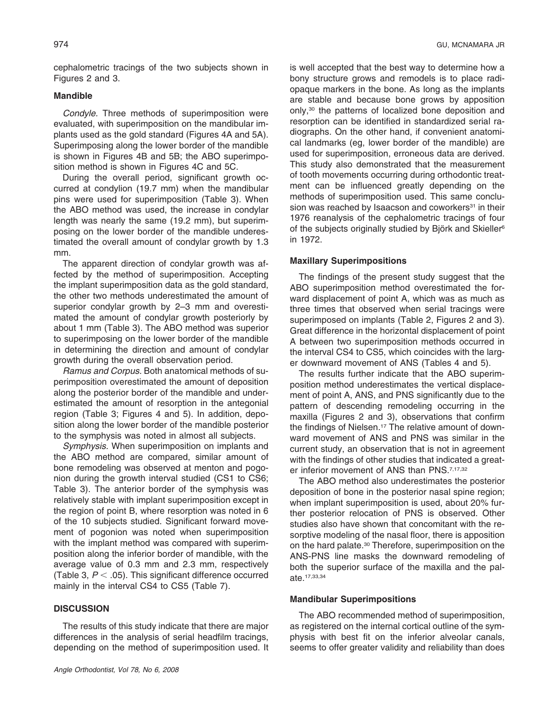cephalometric tracings of the two subjects shown in Figures 2 and 3.

### **Mandible**

*Condyle.* Three methods of superimposition were evaluated, with superimposition on the mandibular implants used as the gold standard (Figures 4A and 5A). Superimposing along the lower border of the mandible is shown in Figures 4B and 5B; the ABO superimposition method is shown in Figures 4C and 5C.

During the overall period, significant growth occurred at condylion (19.7 mm) when the mandibular pins were used for superimposition (Table 3). When the ABO method was used, the increase in condylar length was nearly the same (19.2 mm), but superimposing on the lower border of the mandible underestimated the overall amount of condylar growth by 1.3 mm.

The apparent direction of condylar growth was affected by the method of superimposition. Accepting the implant superimposition data as the gold standard, the other two methods underestimated the amount of superior condylar growth by 2–3 mm and overestimated the amount of condylar growth posteriorly by about 1 mm (Table 3). The ABO method was superior to superimposing on the lower border of the mandible in determining the direction and amount of condylar growth during the overall observation period.

*Ramus and Corpus.* Both anatomical methods of superimposition overestimated the amount of deposition along the posterior border of the mandible and underestimated the amount of resorption in the antegonial region (Table 3; Figures 4 and 5). In addition, deposition along the lower border of the mandible posterior to the symphysis was noted in almost all subjects.

*Symphysis.* When superimposition on implants and the ABO method are compared, similar amount of bone remodeling was observed at menton and pogonion during the growth interval studied (CS1 to CS6; Table 3). The anterior border of the symphysis was relatively stable with implant superimposition except in the region of point B, where resorption was noted in 6 of the 10 subjects studied. Significant forward movement of pogonion was noted when superimposition with the implant method was compared with superimposition along the inferior border of mandible, with the average value of 0.3 mm and 2.3 mm, respectively (Table 3,  $P < .05$ ). This significant difference occurred mainly in the interval CS4 to CS5 (Table 7).

#### **DISCUSSION**

The results of this study indicate that there are major differences in the analysis of serial headfilm tracings, depending on the method of superimposition used. It is well accepted that the best way to determine how a bony structure grows and remodels is to place radiopaque markers in the bone. As long as the implants are stable and because bone grows by apposition only,30 the patterns of localized bone deposition and resorption can be identified in standardized serial radiographs. On the other hand, if convenient anatomical landmarks (eg, lower border of the mandible) are used for superimposition, erroneous data are derived. This study also demonstrated that the measurement of tooth movements occurring during orthodontic treatment can be influenced greatly depending on the methods of superimposition used. This same conclusion was reached by Isaacson and coworkers<sup>31</sup> in their 1976 reanalysis of the cephalometric tracings of four of the subjects originally studied by Björk and Skieller<sup>6</sup> in 1972.

#### **Maxillary Superimpositions**

The findings of the present study suggest that the ABO superimposition method overestimated the forward displacement of point A, which was as much as three times that observed when serial tracings were superimposed on implants (Table 2, Figures 2 and 3). Great difference in the horizontal displacement of point A between two superimposition methods occurred in the interval CS4 to CS5, which coincides with the larger downward movement of ANS (Tables 4 and 5).

The results further indicate that the ABO superimposition method underestimates the vertical displacement of point A, ANS, and PNS significantly due to the pattern of descending remodeling occurring in the maxilla (Figures 2 and 3), observations that confirm the findings of Nielsen.<sup>17</sup> The relative amount of downward movement of ANS and PNS was similar in the current study, an observation that is not in agreement with the findings of other studies that indicated a greater inferior movement of ANS than PNS.<sup>7,17,32</sup>

The ABO method also underestimates the posterior deposition of bone in the posterior nasal spine region; when implant superimposition is used, about 20% further posterior relocation of PNS is observed. Other studies also have shown that concomitant with the resorptive modeling of the nasal floor, there is apposition on the hard palate.<sup>30</sup> Therefore, superimposition on the ANS-PNS line masks the downward remodeling of both the superior surface of the maxilla and the palate.17,33,34

#### **Mandibular Superimpositions**

The ABO recommended method of superimposition, as registered on the internal cortical outline of the symphysis with best fit on the inferior alveolar canals, seems to offer greater validity and reliability than does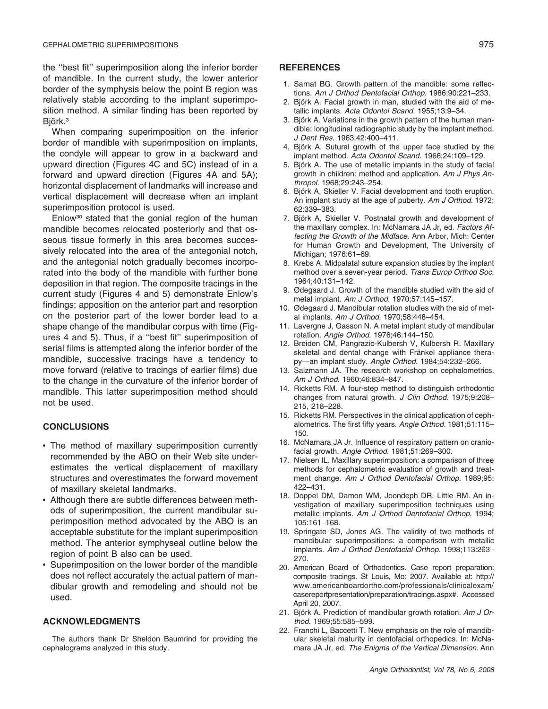the ''best fit'' superimposition along the inferior border of mandible. In the current study, the lower anterior border of the symphysis below the point B region was relatively stable according to the implant superimposition method. A similar finding has been reported by Biörk.<sup>3</sup>

When comparing superimposition on the inferior border of mandible with superimposition on implants, the condyle will appear to grow in a backward and upward direction (Figures 4C and 5C) instead of in a forward and upward direction (Figures 4A and 5A); horizontal displacement of landmarks will increase and vertical displacement will decrease when an implant superimposition protocol is used.

Enlow30 stated that the gonial region of the human mandible becomes relocated posteriorly and that osseous tissue formerly in this area becomes successively relocated into the area of the antegonial notch, and the antegonial notch gradually becomes incorporated into the body of the mandible with further bone deposition in that region. The composite tracings in the current study (Figures 4 and 5) demonstrate Enlow's findings; apposition on the anterior part and resorption on the posterior part of the lower border lead to a shape change of the mandibular corpus with time (Figures 4 and 5). Thus, if a ''best fit'' superimposition of serial films is attempted along the inferior border of the mandible, successive tracings have a tendency to move forward (relative to tracings of earlier films) due to the change in the curvature of the inferior border of mandible. This latter superimposition method should not be used.

#### **CONCLUSIONS**

- The method of maxillary superimposition currently recommended by the ABO on their Web site underestimates the vertical displacement of maxillary structures and overestimates the forward movement of maxillary skeletal landmarks.
- Although there are subtle differences between methods of superimposition, the current mandibular superimposition method advocated by the ABO is an acceptable substitute for the implant superimposition method. The anterior symphyseal outline below the region of point B also can be used.
- Superimposition on the lower border of the mandible does not reflect accurately the actual pattern of mandibular growth and remodeling and should not be used.

#### **ACKNOWLEDGMENTS**

The authors thank Dr Sheldon Baumrind for providing the cephalograms analyzed in this study.

#### **REFERENCES**

- 1. Sarnat BG. Growth pattern of the mandible: some reflections. *Am J Orthod Dentofacial Orthop.* 1986;90:221–233.
- 2. Björk A. Facial growth in man, studied with the aid of metallic implants. *Acta Odontol Scand.* 1955;13:9–34.
- 3. Björk A. Variations in the growth pattern of the human mandible: longitudinal radiographic study by the implant method. *J Dent Res.* 1963;42:400–411.
- 4. Björk A. Sutural growth of the upper face studied by the implant method. *Acta Odontol Scand.* 1966;24:109–129.
- 5. Björk A. The use of metallic implants in the study of facial growth in children: method and application. *Am J Phys Anthropol.* 1968;29:243–254.
- 6. Björk A, Skieller V. Facial development and tooth eruption. An implant study at the age of puberty. *Am J Orthod.* 1972; 62:339–383.
- 7. Björk A, Skieller V. Postnatal growth and development of the maxillary complex. In: McNamara JA Jr, ed. *Factors Affecting the Growth of the Midface.* Ann Arbor, Mich: Center for Human Growth and Development, The University of Michigan; 1976:61–69.
- 8. Krebs A. Midpalatal suture expansion studies by the implant method over a seven-year period. *Trans Europ Orthod Soc.* 1964;40:131–142.
- 9. Ødegaard J. Growth of the mandible studied with the aid of metal implant. *Am J Orthod.* 1970;57:145–157.
- 10. Ødegaard J. Mandibular rotation studies with the aid of metal implants. *Am J Orthod.* 1970;58:448–454.
- 11. Lavergne J, Gasson N. A metal implant study of mandibular rotation. *Angle Orthod.* 1976;46:144–150.
- 12. Breiden CM, Pangrazio-Kulbersh V, Kulbersh R. Maxillary skeletal and dental change with Fränkel appliance therapy—an implant study. *Angle Orthod.* 1984;54:232–266.
- 13. Salzmann JA. The research workshop on cephalometrics. *Am J Orthod.* 1960;46:834–847.
- 14. Ricketts RM. A four-step method to distinguish orthodontic changes from natural growth. *J Clin Orthod.* 1975;9:208– 215, 218–228.
- 15. Ricketts RM. Perspectives in the clinical application of cephalometrics. The first fifty years. *Angle Orthod.* 1981;51:115– 150.
- 16. McNamara JA Jr. Influence of respiratory pattern on craniofacial growth. *Angle Orthod.* 1981;51:269–300.
- 17. Nielsen IL. Maxillary superimposition: a comparison of three methods for cephalometric evaluation of growth and treatment change. *Am J Orthod Dentofacial Orthop.* 1989;95: 422–431.
- 18. Doppel DM, Damon WM, Joondeph DR, Little RM. An investigation of maxillary superimposition techniques using metallic implants. *Am J Orthod Dentofacial Orthop.* 1994; 105:161–168.
- 19. Springate SD, Jones AG. The validity of two methods of mandibular superimpositions: a comparison with metallic implants. *Am J Orthod Dentofacial Orthop.* 1998;113:263– 270.
- 20. American Board of Orthodontics. Case report preparation: composite tracings. St Louis, Mo: 2007. Available at: http:// www.americanboardortho.com/professionals/clinicalexam/ casereportpresentation/preparation/tracings.aspx#. Accessed April 20, 2007.
- 21. Björk A. Prediction of mandibular growth rotation. Am J Or*thod.* 1969;55:585–599.
- 22. Franchi L, Baccetti T. New emphasis on the role of mandibular skeletal maturity in dentofacial orthopedics. In: McNamara JA Jr, ed. *The Enigma of the Vertical Dimension.* Ann